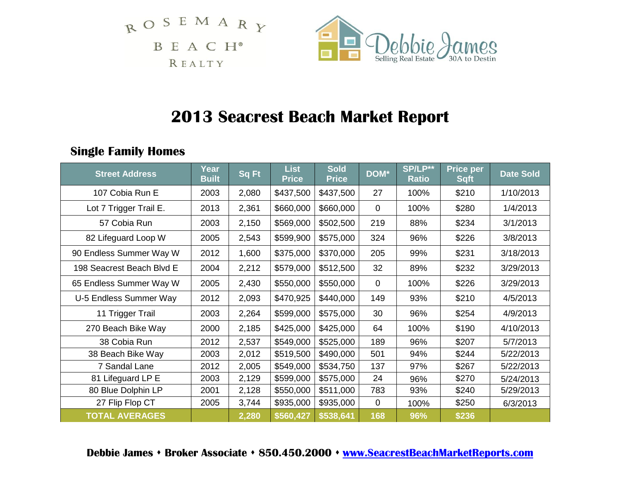$$
\begin{array}{cccc}\nR & O & S & E & M & A & R & Y \\
B & E & A & C & H^* & \\
 & & & & \n\end{array}
$$



# **2013 Seacrest Beach Market Report**

# **Single Family Homes**

| <b>Street Address</b>     | Year<br><b>Built</b> | <b>Sq Ft</b> | <b>List</b><br><b>Price</b> | <b>Sold</b><br><b>Price</b> | DOM*        | SP/LP**<br><b>Ratio</b> | Price per<br><b>Sqft</b> | <b>Date Sold</b> |
|---------------------------|----------------------|--------------|-----------------------------|-----------------------------|-------------|-------------------------|--------------------------|------------------|
| 107 Cobia Run E           | 2003                 | 2,080        | \$437,500                   | \$437,500                   | 27          | 100%                    | \$210                    | 1/10/2013        |
| Lot 7 Trigger Trail E.    | 2013                 | 2,361        | \$660,000                   | \$660,000                   | 0           | 100%                    | \$280                    | 1/4/2013         |
| 57 Cobia Run              | 2003                 | 2,150        | \$569,000                   | \$502,500                   | 219         | 88%                     | \$234                    | 3/1/2013         |
| 82 Lifeguard Loop W       | 2005                 | 2,543        | \$599,900                   | \$575,000                   | 324         | 96%                     | \$226                    | 3/8/2013         |
| 90 Endless Summer Way W   | 2012                 | 1,600        | \$375,000                   | \$370,000                   | 205         | 99%                     | \$231                    | 3/18/2013        |
| 198 Seacrest Beach Blvd E | 2004                 | 2,212        | \$579,000                   | \$512,500                   | 32          | 89%                     | \$232                    | 3/29/2013        |
| 65 Endless Summer Way W   | 2005                 | 2,430        | \$550,000                   | \$550,000                   | $\mathbf 0$ | 100%                    | \$226                    | 3/29/2013        |
| U-5 Endless Summer Way    | 2012                 | 2,093        | \$470,925                   | \$440,000                   | 149         | 93%                     | \$210                    | 4/5/2013         |
| 11 Trigger Trail          | 2003                 | 2,264        | \$599,000                   | \$575,000                   | 30          | 96%                     | \$254                    | 4/9/2013         |
| 270 Beach Bike Way        | 2000                 | 2,185        | \$425,000                   | \$425,000                   | 64          | 100%                    | \$190                    | 4/10/2013        |
| 38 Cobia Run              | 2012                 | 2,537        | \$549,000                   | \$525,000                   | 189         | 96%                     | \$207                    | 5/7/2013         |
| 38 Beach Bike Way         | 2003                 | 2,012        | \$519,500                   | \$490,000                   | 501         | 94%                     | \$244                    | 5/22/2013        |
| 7 Sandal Lane             | 2012                 | 2,005        | \$549,000                   | \$534,750                   | 137         | 97%                     | \$267                    | 5/22/2013        |
| 81 Lifeguard LP E         | 2003                 | 2,129        | \$599,000                   | \$575,000                   | 24          | 96%                     | \$270                    | 5/24/2013        |
| 80 Blue Dolphin LP        | 2001                 | 2,128        | \$550,000                   | \$511,000                   | 783         | 93%                     | \$240                    | 5/29/2013        |
| 27 Flip Flop CT           | 2005                 | 3,744        | \$935,000                   | \$935,000                   | $\mathbf 0$ | 100%                    | \$250                    | 6/3/2013         |
| <b>TOTAL AVERAGES</b>     |                      | 2,280        | \$560,427                   | \$538,641                   | 168         | 96%                     | \$236                    |                  |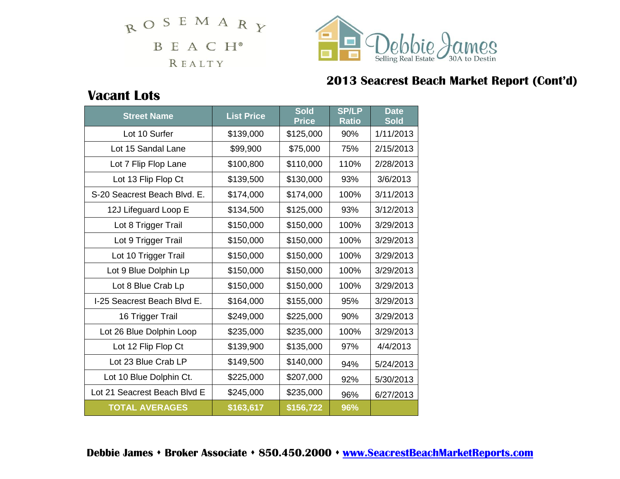ROSEMARY B E A C H<sup>®</sup> REALTY



# **2013 Seacrest Beach Market Report (Cont'd)**

# **Vacant Lots**

| <b>Street Name</b>           | <b>List Price</b> | <b>Sold</b><br><b>Price</b> | <b>SP/LP</b><br><b>Ratio</b> | <b>Date</b><br><b>Sold</b> |
|------------------------------|-------------------|-----------------------------|------------------------------|----------------------------|
| Lot 10 Surfer                | \$139,000         | \$125,000                   | 90%                          | 1/11/2013                  |
| Lot 15 Sandal Lane           | \$99,900          | \$75,000                    | 75%                          | 2/15/2013                  |
| Lot 7 Flip Flop Lane         | \$100,800         | \$110,000                   | 110%                         | 2/28/2013                  |
| Lot 13 Flip Flop Ct          | \$139,500         | \$130,000                   | 93%                          | 3/6/2013                   |
| S-20 Seacrest Beach Blvd. E. | \$174,000         | \$174,000                   | 100%                         | 3/11/2013                  |
| 12J Lifeguard Loop E         | \$134,500         | \$125,000                   | 93%                          | 3/12/2013                  |
| Lot 8 Trigger Trail          | \$150,000         | \$150,000                   | 100%                         | 3/29/2013                  |
| Lot 9 Trigger Trail          | \$150,000         | \$150,000                   | 100%                         | 3/29/2013                  |
| Lot 10 Trigger Trail         | \$150,000         | \$150,000                   | 100%                         | 3/29/2013                  |
| Lot 9 Blue Dolphin Lp        | \$150,000         | \$150,000                   | 100%                         | 3/29/2013                  |
| Lot 8 Blue Crab Lp           | \$150,000         | \$150,000                   | 100%                         | 3/29/2013                  |
| I-25 Seacrest Beach Blvd E.  | \$164,000         | \$155,000                   | 95%                          | 3/29/2013                  |
| 16 Trigger Trail             | \$249,000         | \$225,000                   | 90%                          | 3/29/2013                  |
| Lot 26 Blue Dolphin Loop     | \$235,000         | \$235,000                   | 100%                         | 3/29/2013                  |
| Lot 12 Flip Flop Ct          | \$139,900         | \$135,000                   | 97%                          | 4/4/2013                   |
| Lot 23 Blue Crab LP          | \$149,500         | \$140,000                   | 94%                          | 5/24/2013                  |
| Lot 10 Blue Dolphin Ct.      | \$225,000         | \$207,000                   | 92%                          | 5/30/2013                  |
| Lot 21 Seacrest Beach Blvd E | \$245,000         | \$235,000                   | 96%                          | 6/27/2013                  |
| <b>TOTAL AVERAGES</b>        | \$163,617         | \$156,722                   | 96%                          |                            |